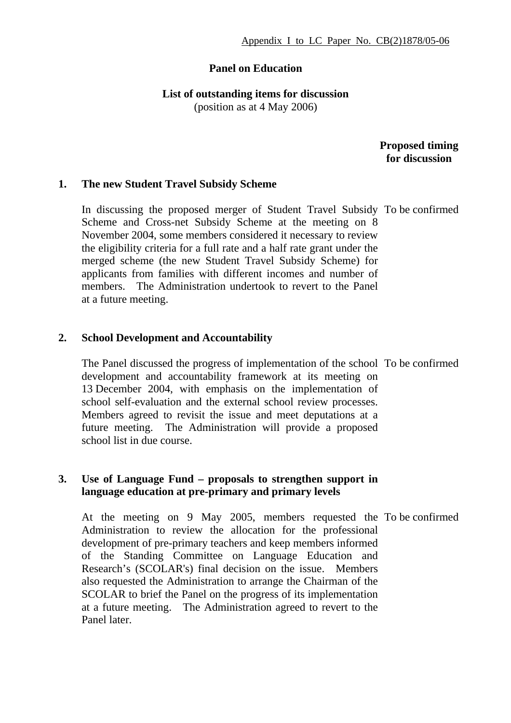# **Panel on Education**

**List of outstanding items for discussion** 

(position as at 4 May 2006)

 **Proposed timing for discussion**

#### **1. The new Student Travel Subsidy Scheme**

In discussing the proposed merger of Student Travel Subsidy To be confirmed Scheme and Cross-net Subsidy Scheme at the meeting on 8 November 2004, some members considered it necessary to review the eligibility criteria for a full rate and a half rate grant under the merged scheme (the new Student Travel Subsidy Scheme) for applicants from families with different incomes and number of members. The Administration undertook to revert to the Panel at a future meeting.

### **2. School Development and Accountability**

The Panel discussed the progress of implementation of the school To be confirmed development and accountability framework at its meeting on 13 December 2004, with emphasis on the implementation of school self-evaluation and the external school review processes. Members agreed to revisit the issue and meet deputations at a future meeting. The Administration will provide a proposed school list in due course.

### **3. Use of Language Fund – proposals to strengthen support in language education at pre-primary and primary levels**

At the meeting on 9 May 2005, members requested the To be confirmedAdministration to review the allocation for the professional development of pre-primary teachers and keep members informed of the Standing Committee on Language Education and Research's (SCOLAR's) final decision on the issue. Members also requested the Administration to arrange the Chairman of the SCOLAR to brief the Panel on the progress of its implementation at a future meeting. The Administration agreed to revert to the Panel later.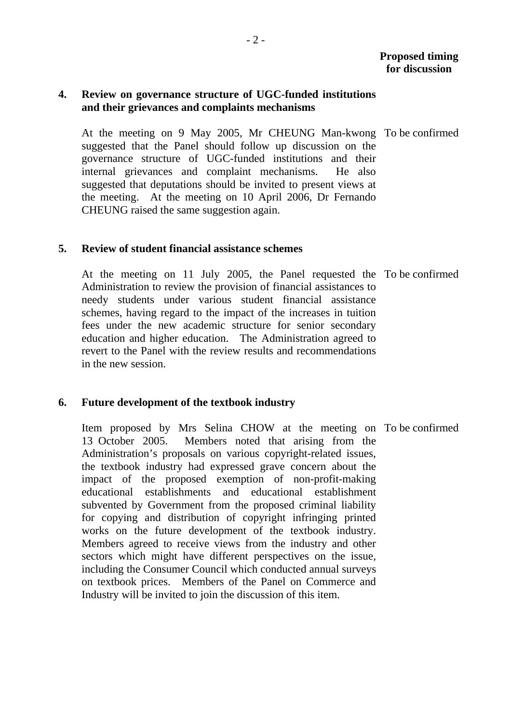## **4. Review on governance structure of UGC-funded institutions and their grievances and complaints mechanisms**

 At the meeting on 9 May 2005, Mr CHEUNG Man-kwong To be confirmed suggested that the Panel should follow up discussion on the governance structure of UGC-funded institutions and their internal grievances and complaint mechanisms. He also suggested that deputations should be invited to present views at the meeting. At the meeting on 10 April 2006, Dr Fernando CHEUNG raised the same suggestion again.

#### **5. Review of student financial assistance schemes**

 At the meeting on 11 July 2005, the Panel requested the To be confirmed Administration to review the provision of financial assistances to needy students under various student financial assistance schemes, having regard to the impact of the increases in tuition fees under the new academic structure for senior secondary education and higher education. The Administration agreed to revert to the Panel with the review results and recommendations in the new session.

#### **6. Future development of the textbook industry**

 Item proposed by Mrs Selina CHOW at the meeting on To be confirmed13 October 2005. Members noted that arising from the Administration's proposals on various copyright-related issues, the textbook industry had expressed grave concern about the impact of the proposed exemption of non-profit-making educational establishments and educational establishment subvented by Government from the proposed criminal liability for copying and distribution of copyright infringing printed works on the future development of the textbook industry. Members agreed to receive views from the industry and other sectors which might have different perspectives on the issue, including the Consumer Council which conducted annual surveys on textbook prices. Members of the Panel on Commerce and Industry will be invited to join the discussion of this item.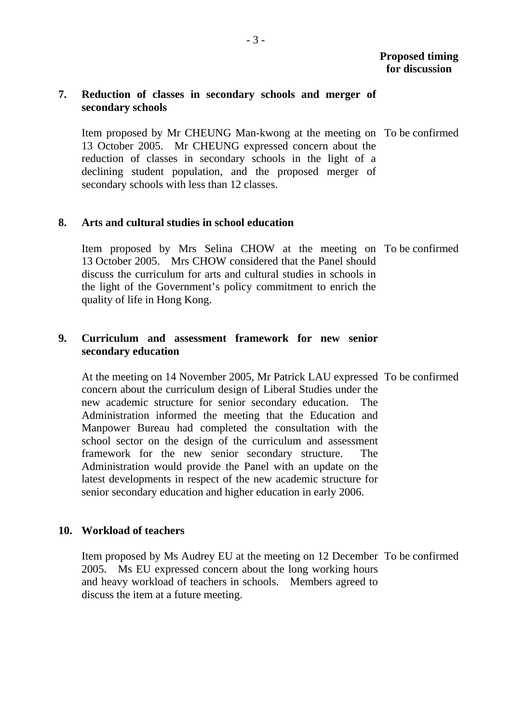## **7. Reduction of classes in secondary schools and merger of secondary schools**

 Item proposed by Mr CHEUNG Man-kwong at the meeting on To be confirmed 13 October 2005. Mr CHEUNG expressed concern about the reduction of classes in secondary schools in the light of a declining student population, and the proposed merger of secondary schools with less than 12 classes.

## **8. Arts and cultural studies in school education**

 Item proposed by Mrs Selina CHOW at the meeting on To be confirmed 13 October 2005. Mrs CHOW considered that the Panel should discuss the curriculum for arts and cultural studies in schools in the light of the Government's policy commitment to enrich the quality of life in Hong Kong.

# **9. Curriculum and assessment framework for new senior secondary education**

 At the meeting on 14 November 2005, Mr Patrick LAU expressed To be confirmed concern about the curriculum design of Liberal Studies under the new academic structure for senior secondary education. The Administration informed the meeting that the Education and Manpower Bureau had completed the consultation with the school sector on the design of the curriculum and assessment framework for the new senior secondary structure. The Administration would provide the Panel with an update on the latest developments in respect of the new academic structure for senior secondary education and higher education in early 2006.

# **10. Workload of teachers**

 Item proposed by Ms Audrey EU at the meeting on 12 December To be confirmed2005. Ms EU expressed concern about the long working hours and heavy workload of teachers in schools. Members agreed to discuss the item at a future meeting.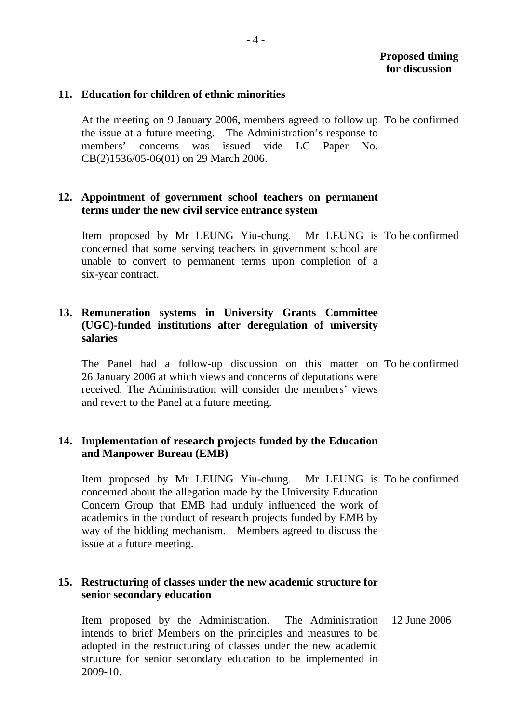## **11. Education for children of ethnic minorities**

 At the meeting on 9 January 2006, members agreed to follow up To be confirmed the issue at a future meeting. The Administration's response to members' concerns was issued vide LC Paper No. CB(2)1536/05-06(01) on 29 March 2006.

## **12. Appointment of government school teachers on permanent terms under the new civil service entrance system**

 Item proposed by Mr LEUNG Yiu-chung. Mr LEUNG is To be confirmed concerned that some serving teachers in government school are unable to convert to permanent terms upon completion of a six-year contract.

# **13. Remuneration systems in University Grants Committee (UGC)-funded institutions after deregulation of university salaries**

 The Panel had a follow-up discussion on this matter on To be confirmed 26 January 2006 at which views and concerns of deputations were received. The Administration will consider the members' views and revert to the Panel at a future meeting.

# **14. Implementation of research projects funded by the Education and Manpower Bureau (EMB)**

 Item proposed by Mr LEUNG Yiu-chung. Mr LEUNG is To be confirmed concerned about the allegation made by the University Education Concern Group that EMB had unduly influenced the work of academics in the conduct of research projects funded by EMB by way of the bidding mechanism. Members agreed to discuss the issue at a future meeting.

# **15. Restructuring of classes under the new academic structure for senior secondary education**

 Item proposed by the Administration. The Administration intends to brief Members on the principles and measures to be adopted in the restructuring of classes under the new academic structure for senior secondary education to be implemented in 2009-10. 12 June 2006